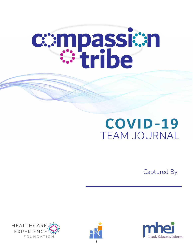

# **COVID-19**  TEAM JOURNAL

Captured By:





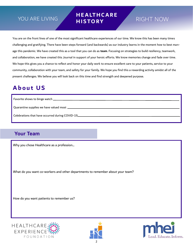# YOU ARE LIVING **HISTOPY** RIGHT NOW

# **H E A LT H C A R E H I S T O RY**

You are on the front lines of one of the most significant healthcare experiences of our time. We know this has been many times challenging and gratifying. There have been steps forward (and backwards) as our industry learns in the moment how to best manage this pandemic. We have created this as a tool that you can do as **team**. Focusing on strategies to build resiliency, teamwork, and collaboration, we have created this Journal in support of your heroic efforts. We know memories change and fade over time. We hope this gives you a chance to reflect and honor your daily work to ensure excellent care to your patients, service to your community, collaboration with your team, and safety for your family. We hope you find this a rewarding activity amidst all of the present challenges. We believe you will look back on this time and find strength and deepened purpose.

# **A b o u t U S**

Favorite shows to binge watch Quarantine supplies we have valued most

Celebrations that have occurred during COVID-19

### **Your Team**

Why you chose Healthcare as a profession...

What do you want co-workers and other departments to remember about your team?

How do you want patients to remember us?





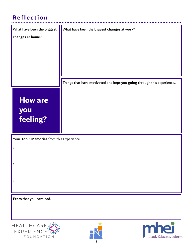# **Reflection**

| What have been the biggest               | What have been the biggest changes at work?                           |
|------------------------------------------|-----------------------------------------------------------------------|
| changes at home?                         |                                                                       |
|                                          |                                                                       |
|                                          |                                                                       |
|                                          |                                                                       |
|                                          | Things that have motivated and kept you going through this experience |
|                                          |                                                                       |
| <b>How are</b>                           |                                                                       |
| you                                      |                                                                       |
| feeling?                                 |                                                                       |
|                                          |                                                                       |
| Your Top 3 Memories from this Experience |                                                                       |
| 1.                                       |                                                                       |
| 2.                                       |                                                                       |
|                                          |                                                                       |
| 3.                                       |                                                                       |
|                                          |                                                                       |
| Fears that you have had                  |                                                                       |
|                                          |                                                                       |
|                                          |                                                                       |
| HEALTHCARE:<br>EXPERIENCE:<br>FOUNDATION | mhei<br>Lead. Educate. Inform.                                        |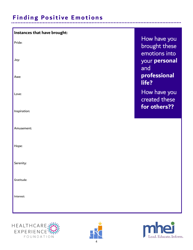# **Finding Positive Emotions**

| Instances that have brought: |                                                |
|------------------------------|------------------------------------------------|
| Pride:                       | How have you<br>brought these<br>emotions into |
| Joy:<br>Awe:                 | your personal<br>and<br>professional           |
| Love:                        | life?<br>How have you<br>created these         |
| Inspiration:                 | for others??                                   |
| Amusement:                   |                                                |
| Hope:                        |                                                |
| Serenity:                    |                                                |
| Gratitude:                   |                                                |
| Interest:                    |                                                |
|                              |                                                |





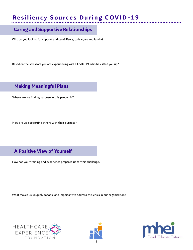# **Resiliency Sources During COVID-19**

#### **Caring and Supportive Relationships**

Who do you look to for support and care? Peers, colleagues and family?

Based on the stressors you are experiencing with COVID-19, who has lifted you up?

#### **Making Meaningful Plans**

Where are we finding purpose in this pandemic?

How are we supporting others with their purpose?

#### **A Positive View of Yourself**

How has your training and experience prepared us for this challenge?

What makes us uniquely capable and important to address this crisis in our organization?





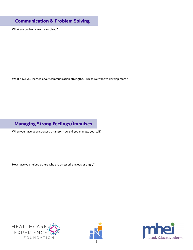#### **Communication & Problem Solving**

What are problems we have solved?

What have you learned about communication strengths? Areas we want to develop more?

### **Managing Strong Feelings/Impulses**

When you have been stressed or angry, how did you manage yourself?

How have you helped others who are stressed, anxious or angry?





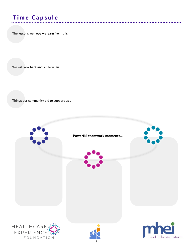# **Time Capsule**

The lessons we hope we learn from this:

We will look back and smile when…

Things our community did to support us…